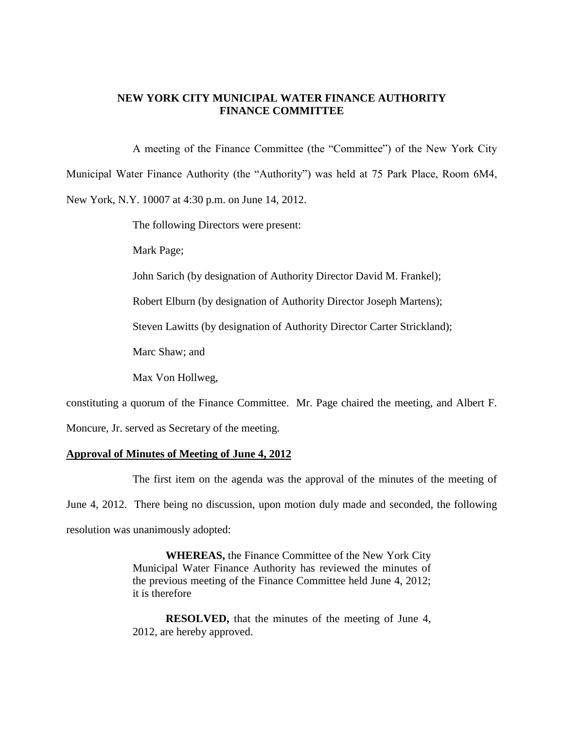## **NEW YORK CITY MUNICIPAL WATER FINANCE AUTHORITY FINANCE COMMITTEE**

A meeting of the Finance Committee (the "Committee") of the New York City Municipal Water Finance Authority (the "Authority") was held at 75 Park Place, Room 6M4, New York, N.Y. 10007 at 4:30 p.m. on June 14, 2012.

The following Directors were present:

Mark Page;

John Sarich (by designation of Authority Director David M. Frankel);

Robert Elburn (by designation of Authority Director Joseph Martens);

Steven Lawitts (by designation of Authority Director Carter Strickland);

Marc Shaw; and

Max Von Hollweg,

constituting a quorum of the Finance Committee. Mr. Page chaired the meeting, and Albert F.

Moncure, Jr. served as Secretary of the meeting.

### **Approval of Minutes of Meeting of June 4, 2012**

The first item on the agenda was the approval of the minutes of the meeting of June 4, 2012. There being no discussion, upon motion duly made and seconded, the following

resolution was unanimously adopted:

**WHEREAS,** the Finance Committee of the New York City Municipal Water Finance Authority has reviewed the minutes of the previous meeting of the Finance Committee held June 4, 2012; it is therefore

**RESOLVED,** that the minutes of the meeting of June 4, 2012, are hereby approved.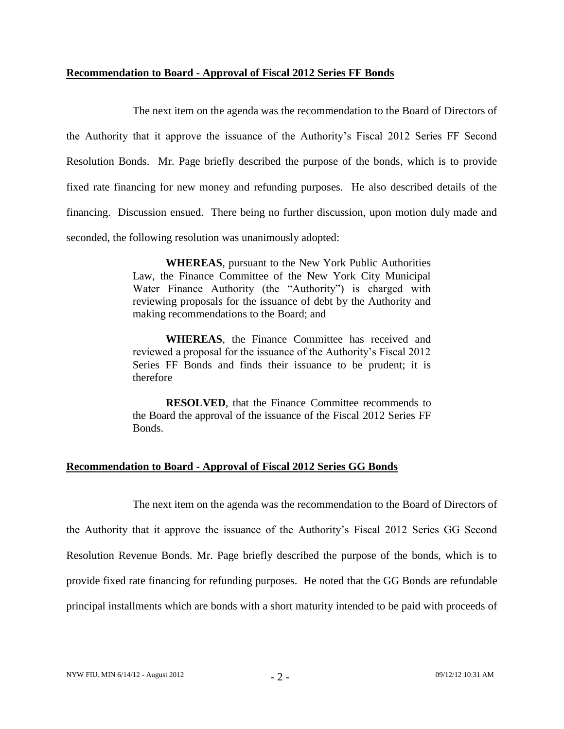### **Recommendation to Board - Approval of Fiscal 2012 Series FF Bonds**

The next item on the agenda was the recommendation to the Board of Directors of the Authority that it approve the issuance of the Authority's Fiscal 2012 Series FF Second Resolution Bonds. Mr. Page briefly described the purpose of the bonds, which is to provide fixed rate financing for new money and refunding purposes. He also described details of the financing. Discussion ensued. There being no further discussion, upon motion duly made and seconded, the following resolution was unanimously adopted:

> **WHEREAS**, pursuant to the New York Public Authorities Law, the Finance Committee of the New York City Municipal Water Finance Authority (the "Authority") is charged with reviewing proposals for the issuance of debt by the Authority and making recommendations to the Board; and

> **WHEREAS**, the Finance Committee has received and reviewed a proposal for the issuance of the Authority's Fiscal 2012 Series FF Bonds and finds their issuance to be prudent; it is therefore

> **RESOLVED**, that the Finance Committee recommends to the Board the approval of the issuance of the Fiscal 2012 Series FF Bonds.

# **Recommendation to Board - Approval of Fiscal 2012 Series GG Bonds**

The next item on the agenda was the recommendation to the Board of Directors of

the Authority that it approve the issuance of the Authority's Fiscal 2012 Series GG Second Resolution Revenue Bonds. Mr. Page briefly described the purpose of the bonds, which is to provide fixed rate financing for refunding purposes. He noted that the GG Bonds are refundable principal installments which are bonds with a short maturity intended to be paid with proceeds of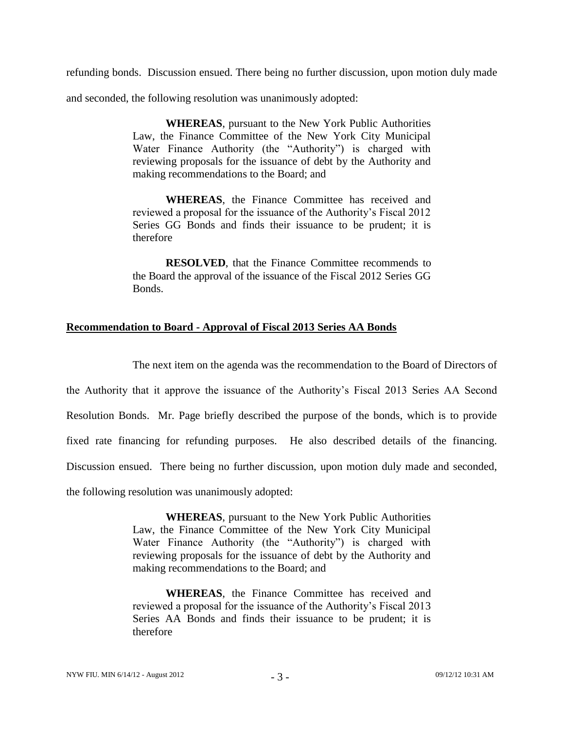refunding bonds. Discussion ensued. There being no further discussion, upon motion duly made

and seconded, the following resolution was unanimously adopted:

**WHEREAS**, pursuant to the New York Public Authorities Law, the Finance Committee of the New York City Municipal Water Finance Authority (the "Authority") is charged with reviewing proposals for the issuance of debt by the Authority and making recommendations to the Board; and

**WHEREAS**, the Finance Committee has received and reviewed a proposal for the issuance of the Authority's Fiscal 2012 Series GG Bonds and finds their issuance to be prudent; it is therefore

**RESOLVED**, that the Finance Committee recommends to the Board the approval of the issuance of the Fiscal 2012 Series GG Bonds.

## **Recommendation to Board - Approval of Fiscal 2013 Series AA Bonds**

The next item on the agenda was the recommendation to the Board of Directors of the Authority that it approve the issuance of the Authority's Fiscal 2013 Series AA Second Resolution Bonds. Mr. Page briefly described the purpose of the bonds, which is to provide fixed rate financing for refunding purposes. He also described details of the financing. Discussion ensued. There being no further discussion, upon motion duly made and seconded, the following resolution was unanimously adopted:

> **WHEREAS**, pursuant to the New York Public Authorities Law, the Finance Committee of the New York City Municipal Water Finance Authority (the "Authority") is charged with reviewing proposals for the issuance of debt by the Authority and making recommendations to the Board; and

> **WHEREAS**, the Finance Committee has received and reviewed a proposal for the issuance of the Authority's Fiscal 2013 Series AA Bonds and finds their issuance to be prudent; it is therefore